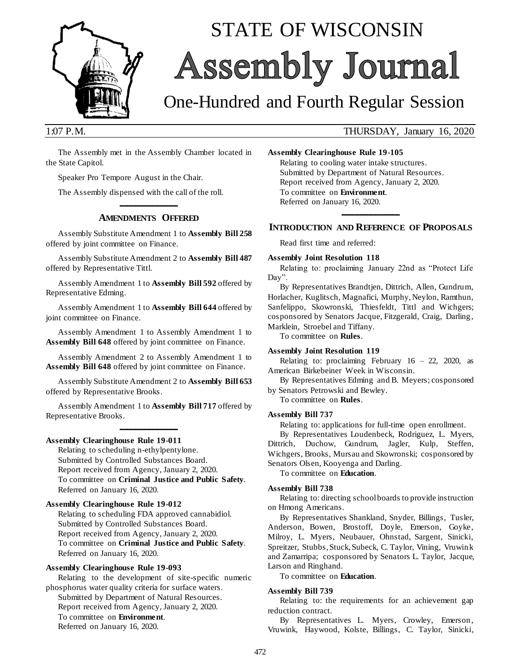

# STATE OF WISCONSIN Assembly Journal

## One-Hundred and Fourth Regular Session

#### 1:07 P.M. THURSDAY, January 16, 2020

The Assembly met in the Assembly Chamber located in the State Capitol.

Speaker Pro Tempore August in the Chair.

The Assembly dispensed with the call of the roll.

#### **\_\_\_\_\_\_\_\_\_\_\_\_\_ AMENDMENTS OFFERED**

Assembly Substitute Amendment 1 to **Assembly Bill 258** offered by joint committee on Finance.

Assembly Substitute Amendment 2 to **Assembly Bill 487** offered by Representative Tittl.

Assembly Amendment 1 to **Assembly Bill 592** offered by Representative Edming.

Assembly Amendment 1 to **Assembly Bill 644** offered by joint committee on Finance.

Assembly Amendment 1 to Assembly Amendment 1 to **Assembly Bill 648** offered by joint committee on Finance.

Assembly Amendment 2 to Assembly Amendment 1 to **Assembly Bill 648** offered by joint committee on Finance.

Assembly Substitute Amendment 2 to **Assembly Bill 653** offered by Representative Brooks.

Assembly Amendment 1 to **Assembly Bill 717** offered by Representative Brooks. **\_\_\_\_\_\_\_\_\_\_\_\_\_**

#### **Assembly Clearinghouse Rule 19-011**

Relating to scheduling n-ethylpentylone. Submitted by Controlled Substances Board. Report received from Agency, January 2, 2020. To committee on **Criminal Justice and Public Safety**. Referred on January 16, 2020.

#### **Assembly Clearinghouse Rule 19-012**

Relating to scheduling FDA approved cannabidiol. Submitted by Controlled Substances Board. Report received from Agency, January 2, 2020. To committee on **Criminal Justice and Public Safety**. Referred on January 16, 2020.

#### **Assembly Clearinghouse Rule 19-093**

Relating to the development of site-specific numeric phosphorus water quality criteria for surface waters. Submitted by Department of Natural Resources. Report received from Agency, January 2, 2020. To committee on **Environment**. Referred on January 16, 2020.

**Assembly Clearinghouse Rule 19-105**

Relating to cooling water intake structures. Submitted by Department of Natural Resources. Report received from Agency, January 2, 2020. To committee on **Environment**. Referred on January 16, 2020.

#### **\_\_\_\_\_\_\_\_\_\_\_\_\_ INTRODUCTION AND REFERENCE OF PROPOSALS**

Read first time and referred:

#### **Assembly Joint Resolution 118**

Relating to: proclaiming January 22nd as "Protect Life Day".

By Representatives Brandtjen, Dittrich, Allen, Gundrum, Horlacher, Kuglitsch, Magnafici, Murphy, Neylon, Ramthun, Sanfelippo, Skowronski, Thiesfeldt, Tittl and Wichgers; cosponsored by Senators Jacque, Fitzgerald, Craig, Darling, Marklein, Stroebel and Tiffany.

To committee on **Rules**.

#### **Assembly Joint Resolution 119**

Relating to: proclaiming February  $16 - 22$ , 2020, as American Birkebeiner Week in Wisconsin.

By Representatives Edming and B. Meyers; cosponsored by Senators Petrowski and Bewley.

To committee on **Rules**.

#### **Assembly Bill 737**

Relating to: applications for full-time open enrollment.

By Representatives Loudenbeck, Rodriguez, L. Myers, Dittrich, Duchow, Gundrum, Jagler, Kulp, Steffen, Wichgers, Brooks, Mursau and Skowronski; cosponsored by Senators Olsen, Kooyenga and Darling.

#### To committee on **Education**.

#### **Assembly Bill 738**

Relating to: directing school boards to provide instruction on Hmong Americans.

By Representatives Shankland, Snyder, Billings, Tusler, Anderson, Bowen, Brostoff, Doyle, Emerson, Goyke, Milroy, L. Myers, Neubauer, Ohnstad, Sargent, Sinicki, Spreitzer, Stubbs, Stuck, Subeck, C. Taylor, Vining, Vruwink and Zamarripa; cosponsored by Senators L. Taylor, Jacque, Larson and Ringhand.

To committee on **Education**.

#### **Assembly Bill 739**

Relating to: the requirements for an achievement gap reduction contract.

By Representatives L. Myers, Crowley, Emerson, Vruwink, Haywood, Kolste, Billings, C. Taylor, Sinicki,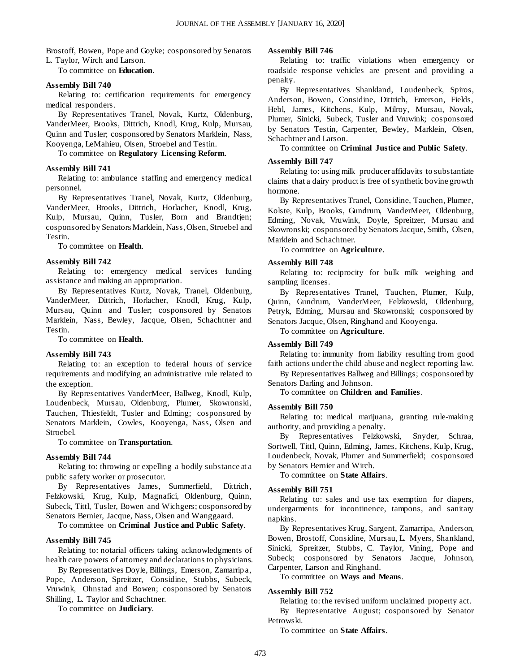Brostoff, Bowen, Pope and Goyke; cosponsored by Senators L. Taylor, Wirch and Larson.

To committee on **Education**.

#### **Assembly Bill 740**

Relating to: certification requirements for emergency medical responders.

By Representatives Tranel, Novak, Kurtz, Oldenburg, VanderMeer, Brooks, Dittrich, Knodl, Krug, Kulp, Mursau, Quinn and Tusler; cosponsored by Senators Marklein, Nass, Kooyenga, LeMahieu, Olsen, Stroebel and Testin.

To committee on **Regulatory Licensing Reform**.

#### **Assembly Bill 741**

Relating to: ambulance staffing and emergency medical personnel.

By Representatives Tranel, Novak, Kurtz, Oldenburg, VanderMeer, Brooks, Dittrich, Horlacher, Knodl, Krug, Kulp, Mursau, Quinn, Tusler, Born and Brandtjen; cosponsored by Senators Marklein, Nass, Olsen, Stroebel and Testin.

To committee on **Health**.

#### **Assembly Bill 742**

Relating to: emergency medical services funding assistance and making an appropriation.

By Representatives Kurtz, Novak, Tranel, Oldenburg, VanderMeer, Dittrich, Horlacher, Knodl, Krug, Kulp, Mursau, Quinn and Tusler; cosponsored by Senators Marklein, Nass, Bewley, Jacque, Olsen, Schachtner and Testin.

To committee on **Health**.

#### **Assembly Bill 743**

Relating to: an exception to federal hours of service requirements and modifying an administrative rule related to the exception.

By Representatives VanderMeer, Ballweg, Knodl, Kulp, Loudenbeck, Mursau, Oldenburg, Plumer, Skowronski, Tauchen, Thiesfeldt, Tusler and Edming; cosponsored by Senators Marklein, Cowles, Kooyenga, Nass, Olsen and Stroebel.

To committee on **Transportation**.

#### **Assembly Bill 744**

Relating to: throwing or expelling a bodily substance at a public safety worker or prosecutor.

By Representatives James, Summerfield, Dittrich, Felzkowski, Krug, Kulp, Magnafici, Oldenburg, Quinn, Subeck, Tittl, Tusler, Bowen and Wichgers; cosponsored by Senators Bernier, Jacque, Nass, Olsen and Wanggaard.

To committee on **Criminal Justice and Public Safety**.

#### **Assembly Bill 745**

Relating to: notarial officers taking acknowledgments of health care powers of attorney and declarations to physicians.

By Representatives Doyle, Billings, Emerson, Zamarripa, Pope, Anderson, Spreitzer, Considine, Stubbs, Subeck, Vruwink, Ohnstad and Bowen; cosponsored by Senators Shilling, L. Taylor and Schachtner.

To committee on **Judiciary**.

#### **Assembly Bill 746**

Relating to: traffic violations when emergency or roadside response vehicles are present and providing a penalty.

By Representatives Shankland, Loudenbeck, Spiros, Anderson, Bowen, Considine, Dittrich, Emerson, Fields, Hebl, James, Kitchens, Kulp, Milroy, Mursau, Novak, Plumer, Sinicki, Subeck, Tusler and Vruwink; cosponsored by Senators Testin, Carpenter, Bewley, Marklein, Olsen, Schachtner and Larson.

To committee on **Criminal Justice and Public Safety**.

#### **Assembly Bill 747**

Relating to: using milk producer affidavits to substantiate claims that a dairy product is free of synthetic bovine growth hormone.

By Representatives Tranel, Considine, Tauchen, Plumer, Kolste, Kulp, Brooks, Gundrum, VanderMeer, Oldenburg, Edming, Novak, Vruwink, Doyle, Spreitzer, Mursau and Skowronski; cosponsored by Senators Jacque, Smith, Olsen, Marklein and Schachtner.

To committee on **Agriculture**.

#### **Assembly Bill 748**

Relating to: reciprocity for bulk milk weighing and sampling licenses.

By Representatives Tranel, Tauchen, Plumer, Kulp, Quinn, Gundrum, VanderMeer, Felzkowski, Oldenburg, Petryk, Edming, Mursau and Skowronski; cosponsored by Senators Jacque, Olsen, Ringhand and Kooyenga.

To committee on **Agriculture**.

#### **Assembly Bill 749**

Relating to: immunity from liability resulting from good faith actions under the child abuse and neglect reporting law.

By Representatives Ballweg and Billings; cosponsored by Senators Darling and Johnson.

To committee on **Children and Families**.

#### **Assembly Bill 750**

Relating to: medical marijuana, granting rule-making authority, and providing a penalty.

By Representatives Felzkowski, Snyder, Schraa, Sortwell, Tittl, Quinn, Edming, James, Kitchens, Kulp, Krug, Loudenbeck, Novak, Plumer and Summerfield; cosponsored by Senators Bernier and Wirch.

To committee on **State Affairs**.

#### **Assembly Bill 751**

Relating to: sales and use tax exemption for diapers, undergarments for incontinence, tampons, and sanitary napkins.

By Representatives Krug, Sargent, Zamarripa, Anderson, Bowen, Brostoff, Considine, Mursau, L. Myers, Shankland, Sinicki, Spreitzer, Stubbs, C. Taylor, Vining, Pope and Subeck; cosponsored by Senators Jacque, Johnson, Carpenter, Larson and Ringhand.

To committee on **Ways and Means**.

#### **Assembly Bill 752**

Relating to: the revised uniform unclaimed property act. By Representative August; cosponsored by Senator Petrowski.

To committee on **State Affairs**.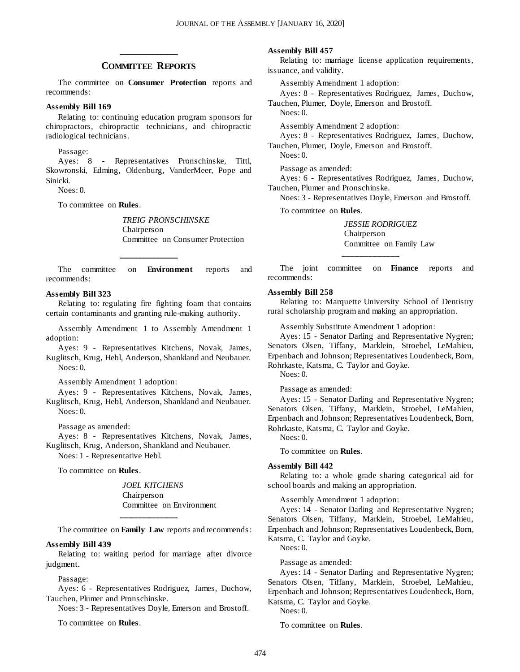#### **\_\_\_\_\_\_\_\_\_\_\_\_\_ COMMITTEE REPORTS**

The committee on **Consumer Protection** reports and recommends:

#### **Assembly Bill 169**

Relating to: continuing education program sponsors for chiropractors, chiropractic technicians, and chiropractic radiological technicians.

Passage:

Ayes: 8 - Representatives Pronschinske, Tittl, Skowronski, Edming, Oldenburg, VanderMeer, Pope and Sinicki.

Noes: 0.

To committee on **Rules**.

*TREIG PRONSCHINSKE* Chairperson Committee on Consumer Protection

The committee on **Environment** reports and recommends:

**\_\_\_\_\_\_\_\_\_\_\_\_\_**

#### **Assembly Bill 323**

Relating to: regulating fire fighting foam that contains certain contaminants and granting rule-making authority.

Assembly Amendment 1 to Assembly Amendment 1 adoption:

Ayes: 9 - Representatives Kitchens, Novak, James, Kuglitsch, Krug, Hebl, Anderson, Shankland and Neubauer. Noes: 0.

Assembly Amendment 1 adoption:

Ayes: 9 - Representatives Kitchens, Novak, James, Kuglitsch, Krug, Hebl, Anderson, Shankland and Neubauer. Noes: 0.

Passage as amended:

Ayes: 8 - Representatives Kitchens, Novak, James, Kuglitsch, Krug, Anderson, Shankland and Neubauer. Noes: 1 - Representative Hebl.

To committee on **Rules**.

*JOEL KITCHENS* Chairperson Committee on Environment

The committee on **Family Law** reports and recommends :

#### **Assembly Bill 439**

Relating to: waiting period for marriage after divorce judgment.

**\_\_\_\_\_\_\_\_\_\_\_\_\_**

#### Passage:

Ayes: 6 - Representatives Rodriguez, James, Duchow, Tauchen, Plumer and Pronschinske.

Noes: 3 - Representatives Doyle, Emerson and Brostoff.

To committee on **Rules**.

#### **Assembly Bill 457**

Relating to: marriage license application requirements, issuance, and validity.

Assembly Amendment 1 adoption:

Ayes: 8 - Representatives Rodriguez, James, Duchow,

Tauchen, Plumer, Doyle, Emerson and Brostoff. Noes: 0.

Assembly Amendment 2 adoption:

Ayes: 8 - Representatives Rodriguez, James, Duchow,

Tauchen, Plumer, Doyle, Emerson and Brostoff. Noes: 0.

Passage as amended:

Ayes: 6 - Representatives Rodriguez, James, Duchow, Tauchen, Plumer and Pronschinske.

Noes: 3 - Representatives Doyle, Emerson and Brostoff.

To committee on **Rules**.

*JESSIE RODRIGUEZ* Chairperson Committee on Family Law

The joint committee on **Finance** reports and recommends:

**\_\_\_\_\_\_\_\_\_\_\_\_\_**

#### **Assembly Bill 258**

Relating to: Marquette University School of Dentistry rural scholarship program and making an appropriation.

Assembly Substitute Amendment 1 adoption:

Ayes: 15 - Senator Darling and Representative Nygren; Senators Olsen, Tiffany, Marklein, Stroebel, LeMahieu, Erpenbach and Johnson; Representatives Loudenbeck, Born, Rohrkaste, Katsma, C. Taylor and Goyke.

Noes: 0.

Passage as amended:

Ayes: 15 - Senator Darling and Representative Nygren; Senators Olsen, Tiffany, Marklein, Stroebel, LeMahieu, Erpenbach and Johnson; Representatives Loudenbeck, Born, Rohrkaste, Katsma, C. Taylor and Goyke.

Noes: 0.

To committee on **Rules**.

#### **Assembly Bill 442**

Relating to: a whole grade sharing categorical aid for school boards and making an appropriation.

Assembly Amendment 1 adoption:

Ayes: 14 - Senator Darling and Representative Nygren; Senators Olsen, Tiffany, Marklein, Stroebel, LeMahieu, Erpenbach and Johnson; Representatives Loudenbeck, Born, Katsma, C. Taylor and Goyke.

Noes: 0.

Passage as amended:

Ayes: 14 - Senator Darling and Representative Nygren; Senators Olsen, Tiffany, Marklein, Stroebel, LeMahieu, Erpenbach and Johnson; Representatives Loudenbeck, Born, Katsma, C. Taylor and Goyke.

Noes: 0.

To committee on **Rules**.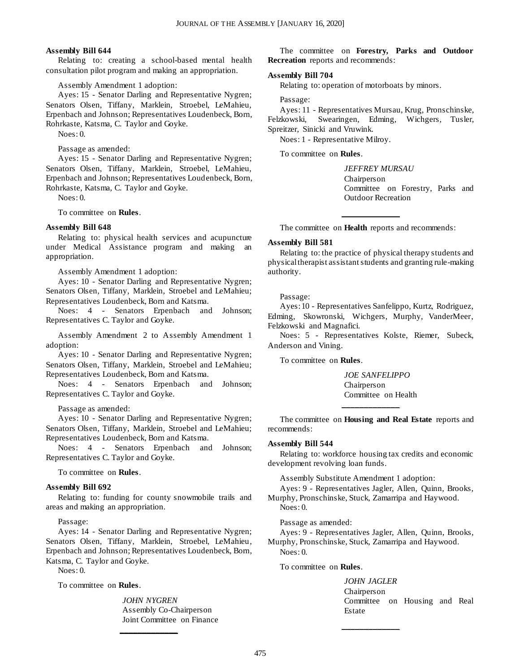#### **Assembly Bill 644**

Relating to: creating a school-based mental health consultation pilot program and making an appropriation.

Assembly Amendment 1 adoption:

Ayes: 15 - Senator Darling and Representative Nygren; Senators Olsen, Tiffany, Marklein, Stroebel, LeMahieu, Erpenbach and Johnson; Representatives Loudenbeck, Born, Rohrkaste, Katsma, C. Taylor and Goyke.

Noes: 0.

Passage as amended:

Ayes: 15 - Senator Darling and Representative Nygren; Senators Olsen, Tiffany, Marklein, Stroebel, LeMahieu, Erpenbach and Johnson; Representatives Loudenbeck, Born, Rohrkaste, Katsma, C. Taylor and Goyke.

Noes: 0.

To committee on **Rules**.

#### **Assembly Bill 648**

Relating to: physical health services and acupuncture under Medical Assistance program and making an appropriation.

Assembly Amendment 1 adoption:

Ayes: 10 - Senator Darling and Representative Nygren; Senators Olsen, Tiffany, Marklein, Stroebel and LeMahieu; Representatives Loudenbeck, Born and Katsma.

Noes: 4 - Senators Erpenbach and Johnson; Representatives C. Taylor and Goyke.

Assembly Amendment 2 to Assembly Amendment 1 adoption:

Ayes: 10 - Senator Darling and Representative Nygren; Senators Olsen, Tiffany, Marklein, Stroebel and LeMahieu; Representatives Loudenbeck, Born and Katsma.

Noes: 4 - Senators Erpenbach and Johnson; Representatives C. Taylor and Goyke.

Passage as amended:

Ayes: 10 - Senator Darling and Representative Nygren; Senators Olsen, Tiffany, Marklein, Stroebel and LeMahieu; Representatives Loudenbeck, Born and Katsma.

Noes: 4 - Senators Erpenbach and Johnson; Representatives C. Taylor and Goyke.

To committee on **Rules**.

#### **Assembly Bill 692**

Relating to: funding for county snowmobile trails and areas and making an appropriation.

Passage:

Ayes: 14 - Senator Darling and Representative Nygren; Senators Olsen, Tiffany, Marklein, Stroebel, LeMahieu, Erpenbach and Johnson; Representatives Loudenbeck, Born, Katsma, C. Taylor and Goyke.

**\_\_\_\_\_\_\_\_\_\_\_\_\_**

Noes: 0.

To committee on **Rules**.

*JOHN NYGREN* Assembly Co-Chairperson Joint Committee on Finance

The committee on **Forestry, Parks and Outdoor Recreation** reports and recommends:

#### **Assembly Bill 704**

Relating to: operation of motorboats by minors.

Passage:

Ayes: 11 - Representatives Mursau, Krug, Pronschinske, Felzkowski, Swearingen, Edming, Wichgers, Tusler, Spreitzer, Sinicki and Vruwink.

Noes: 1 - Representative Milroy.

To committee on **Rules**.

*JEFFREY MURSAU* Chairperson Committee on Forestry, Parks and Outdoor Recreation

**\_\_\_\_\_\_\_\_\_\_\_\_\_** The committee on **Health** reports and recommends:

#### **Assembly Bill 581**

Relating to: the practice of physical therapy students and physical therapist assistant students and granting rule-making authority.

Passage:

Ayes: 10 - Representatives Sanfelippo, Kurtz, Rodriguez, Edming, Skowronski, Wichgers, Murphy, VanderMeer, Felzkowski and Magnafici.

Noes: 5 - Representatives Kolste, Riemer, Subeck, Anderson and Vining.

To committee on **Rules**.

*JOE SANFELIPPO* Chairperson Committee on Health

The committee on **Housing and Real Estate** reports and recommends:

**\_\_\_\_\_\_\_\_\_\_\_\_\_**

#### **Assembly Bill 544**

Noes: 0.

Relating to: workforce housing tax credits and economic development revolving loan funds.

Assembly Substitute Amendment 1 adoption:

Ayes: 9 - Representatives Jagler, Allen, Quinn, Brooks, Murphy, Pronschinske, Stuck, Zamarripa and Haywood.

Passage as amended: Ayes: 9 - Representatives Jagler, Allen, Quinn, Brooks, Murphy, Pronschinske, Stuck, Zamarripa and Haywood. Noes: 0.

**\_\_\_\_\_\_\_\_\_\_\_\_\_**

To committee on **Rules**.

*JOHN JAGLER* Chairperson Committee on Housing and Real Estate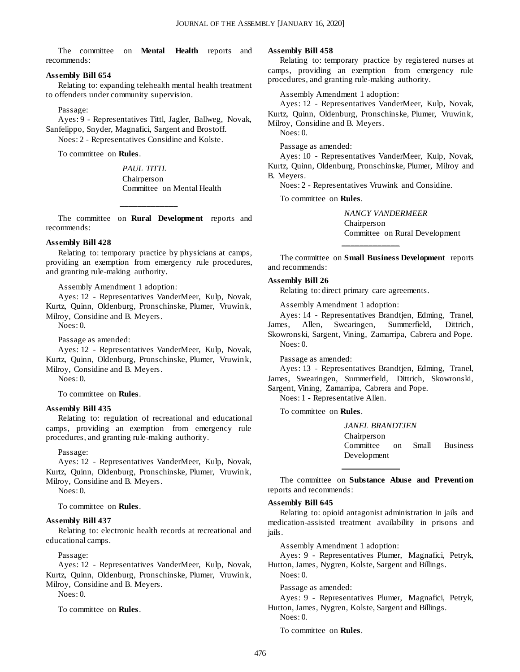The committee on **Mental Health** reports and recommends:

#### **Assembly Bill 654**

Relating to: expanding telehealth mental health treatment to offenders under community supervision.

#### Passage:

Ayes: 9 - Representatives Tittl, Jagler, Ballweg, Novak, Sanfelippo, Snyder, Magnafici, Sargent and Brostoff. Noes: 2 - Representatives Considine and Kolste.

To committee on **Rules**.

*PAUL TITTL* Chairperson Committee on Mental Health

The committee on **Rural Development** reports and recommends:

**\_\_\_\_\_\_\_\_\_\_\_\_\_**

#### **Assembly Bill 428**

Relating to: temporary practice by physicians at camps, providing an exemption from emergency rule procedures, and granting rule-making authority.

Assembly Amendment 1 adoption:

Ayes: 12 - Representatives VanderMeer, Kulp, Novak, Kurtz, Quinn, Oldenburg, Pronschinske, Plumer, Vruwink, Milroy, Considine and B. Meyers.

Noes: 0.

Passage as amended:

Ayes: 12 - Representatives VanderMeer, Kulp, Novak, Kurtz, Quinn, Oldenburg, Pronschinske, Plumer, Vruwink, Milroy, Considine and B. Meyers.

Noes: 0.

To committee on **Rules**.

#### **Assembly Bill 435**

Relating to: regulation of recreational and educational camps, providing an exemption from emergency rule procedures, and granting rule-making authority.

Passage:

Ayes: 12 - Representatives VanderMeer, Kulp, Novak, Kurtz, Quinn, Oldenburg, Pronschinske, Plumer, Vruwink, Milroy, Considine and B. Meyers.

Noes: 0.

To committee on **Rules**.

#### **Assembly Bill 437**

Relating to: electronic health records at recreational and educational camps.

Passage:

Ayes: 12 - Representatives VanderMeer, Kulp, Novak, Kurtz, Quinn, Oldenburg, Pronschinske, Plumer, Vruwink, Milroy, Considine and B. Meyers.

Noes: 0.

To committee on **Rules**.

#### **Assembly Bill 458**

Relating to: temporary practice by registered nurses at camps, providing an exemption from emergency rule procedures, and granting rule-making authority.

Assembly Amendment 1 adoption:

Ayes: 12 - Representatives VanderMeer, Kulp, Novak, Kurtz, Quinn, Oldenburg, Pronschinske, Plumer, Vruwink, Milroy, Considine and B. Meyers.

Noes: 0.

Passage as amended:

Ayes: 10 - Representatives VanderMeer, Kulp, Novak, Kurtz, Quinn, Oldenburg, Pronschinske, Plumer, Milroy and B. Meyers.

Noes: 2 - Representatives Vruwink and Considine.

To committee on **Rules**.

*NANCY VANDERMEER* Chairperson Committee on Rural Development

The committee on **Small Business Development** reports and recommends:

**\_\_\_\_\_\_\_\_\_\_\_\_\_**

#### **Assembly Bill 26**

Relating to: direct primary care agreements.

Assembly Amendment 1 adoption:

Ayes: 14 - Representatives Brandtjen, Edming, Tranel, James, Allen, Swearingen, Summerfield, Dittrich, Skowronski, Sargent, Vining, Zamarripa, Cabrera and Pope. Noes: 0.

Passage as amended:

Ayes: 13 - Representatives Brandtjen, Edming, Tranel, James, Swearingen, Summerfield, Dittrich, Skowronski, Sargent, Vining, Zamarripa, Cabrera and Pope.

Noes: 1 - Representative Allen.

To committee on **Rules**.

*JANEL BRANDTJEN* Chairperson Committee on Small Business Development

The committee on **Substance Abuse and Prevention** reports and recommends:

**\_\_\_\_\_\_\_\_\_\_\_\_\_**

#### **Assembly Bill 645**

Relating to: opioid antagonist administration in jails and medication-assisted treatment availability in prisons and jails.

Assembly Amendment 1 adoption:

Ayes: 9 - Representatives Plumer, Magnafici, Petryk, Hutton, James, Nygren, Kolste, Sargent and Billings.

Noes: 0.

Passage as amended:

Ayes: 9 - Representatives Plumer, Magnafici, Petryk, Hutton, James, Nygren, Kolste, Sargent and Billings.

Noes: 0.

To committee on **Rules**.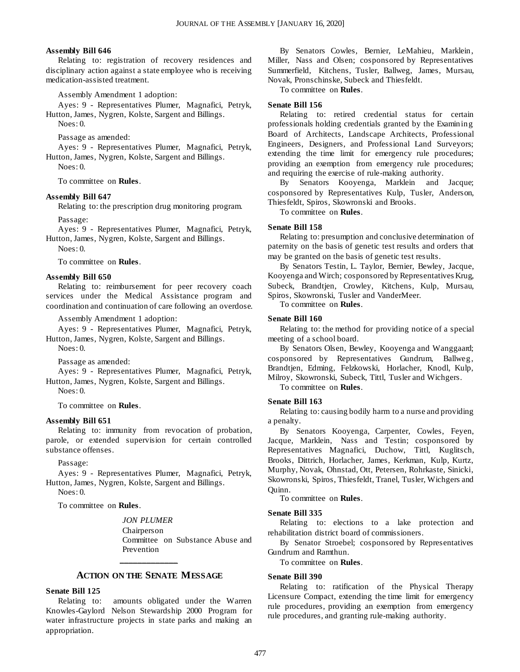#### **Assembly Bill 646**

Relating to: registration of recovery residences and disciplinary action against a state employee who is receiving medication-assisted treatment.

Assembly Amendment 1 adoption:

Ayes: 9 - Representatives Plumer, Magnafici, Petryk, Hutton, James, Nygren, Kolste, Sargent and Billings.

Noes: 0.

Passage as amended:

Ayes: 9 - Representatives Plumer, Magnafici, Petryk, Hutton, James, Nygren, Kolste, Sargent and Billings.

 $N$ oes: 0.

To committee on **Rules**.

#### **Assembly Bill 647**

Relating to: the prescription drug monitoring program.

Passage:

Ayes: 9 - Representatives Plumer, Magnafici, Petryk, Hutton, James, Nygren, Kolste, Sargent and Billings.

Noes: 0.

To committee on **Rules**.

#### **Assembly Bill 650**

Relating to: reimbursement for peer recovery coach services under the Medical Assistance program and coordination and continuation of care following an overdose.

Assembly Amendment 1 adoption:

Ayes: 9 - Representatives Plumer, Magnafici, Petryk, Hutton, James, Nygren, Kolste, Sargent and Billings.

Noes: 0.

Passage as amended:

Ayes: 9 - Representatives Plumer, Magnafici, Petryk, Hutton, James, Nygren, Kolste, Sargent and Billings.

Noes: 0.

To committee on **Rules**.

#### **Assembly Bill 651**

Relating to: immunity from revocation of probation, parole, or extended supervision for certain controlled substance offenses.

Passage:

Ayes: 9 - Representatives Plumer, Magnafici, Petryk, Hutton, James, Nygren, Kolste, Sargent and Billings. Noes: 0.

To committee on **Rules**.

#### *JON PLUMER*

Chairperson Committee on Substance Abuse and Prevention **\_\_\_\_\_\_\_\_\_\_\_\_\_**

#### **ACTION ON THE SENATE MESSAGE**

#### **Senate Bill 125**

Relating to: amounts obligated under the Warren Knowles-Gaylord Nelson Stewardship 2000 Program for water infrastructure projects in state parks and making an appropriation.

By Senators Cowles, Bernier, LeMahieu, Marklein, Miller, Nass and Olsen; cosponsored by Representatives Summerfield, Kitchens, Tusler, Ballweg, James, Mursau, Novak, Pronschinske, Subeck and Thiesfeldt.

To committee on **Rules**.

#### **Senate Bill 156**

Relating to: retired credential status for certain professionals holding credentials granted by the Examining Board of Architects, Landscape Architects, Professional Engineers, Designers, and Professional Land Surveyors; extending the time limit for emergency rule procedures; providing an exemption from emergency rule procedures; and requiring the exercise of rule-making authority.

By Senators Kooyenga, Marklein and Jacque; cosponsored by Representatives Kulp, Tusler, Anderson, Thiesfeldt, Spiros, Skowronski and Brooks.

To committee on **Rules**.

#### **Senate Bill 158**

Relating to: presumption and conclusive determination of paternity on the basis of genetic test results and orders that may be granted on the basis of genetic test results.

By Senators Testin, L. Taylor, Bernier, Bewley, Jacque, Kooyenga and Wirch; cosponsored by Representatives Krug, Subeck, Brandtjen, Crowley, Kitchens, Kulp, Mursau, Spiros, Skowronski, Tusler and VanderMeer.

To committee on **Rules**.

#### **Senate Bill 160**

Relating to: the method for providing notice of a special meeting of a school board.

By Senators Olsen, Bewley, Kooyenga and Wanggaard; cosponsored by Representatives Gundrum, Ballweg, Brandtjen, Edming, Felzkowski, Horlacher, Knodl, Kulp, Milroy, Skowronski, Subeck, Tittl, Tusler and Wichgers.

To committee on **Rules**.

#### **Senate Bill 163**

Relating to: causing bodily harm to a nurse and providing a penalty.

By Senators Kooyenga, Carpenter, Cowles, Feyen, Jacque, Marklein, Nass and Testin; cosponsored by Representatives Magnafici, Duchow, Tittl, Kuglitsch, Brooks, Dittrich, Horlacher, James, Kerkman, Kulp, Kurtz, Murphy, Novak, Ohnstad, Ott, Petersen, Rohrkaste, Sinicki, Skowronski, Spiros, Thiesfeldt, Tranel, Tusler, Wichgers and Quinn.

To committee on **Rules**.

#### **Senate Bill 335**

Relating to: elections to a lake protection and rehabilitation district board of commissioners.

By Senator Stroebel; cosponsored by Representatives Gundrum and Ramthun.

To committee on **Rules**.

#### **Senate Bill 390**

Relating to: ratification of the Physical Therapy Licensure Compact, extending the time limit for emergency rule procedures, providing an exemption from emergency rule procedures, and granting rule-making authority.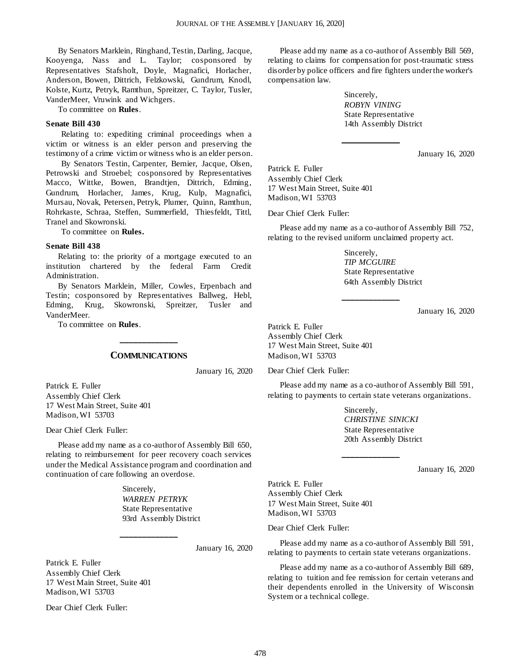By Senators Marklein, Ringhand, Testin, Darling, Jacque, Kooyenga, Nass and L. Taylor; cosponsored by Representatives Stafsholt, Doyle, Magnafici, Horlacher, Anderson, Bowen, Dittrich, Felzkowski, Gundrum, Knodl, Kolste, Kurtz, Petryk, Ramthun, Spreitzer, C. Taylor, Tusler, VanderMeer, Vruwink and Wichgers.

To committee on **Rules**.

#### **Senate Bill 430**

Relating to: expediting criminal proceedings when a victim or witness is an elder person and preserving the testimony of a crime victim or witness who is an elder person.

By Senators Testin, Carpenter, Bernier, Jacque, Olsen, Petrowski and Stroebel; cosponsored by Representatives Macco, Wittke, Bowen, Brandtjen, Dittrich, Edming, Gundrum, Horlacher, James, Krug, Kulp, Magnafici, Mursau, Novak, Petersen, Petryk, Plumer, Quinn, Ramthun, Rohrkaste, Schraa, Steffen, Summerfield, Thiesfeldt, Tittl, Tranel and Skowronski.

To committee on **Rules.**

#### **Senate Bill 438**

Relating to: the priority of a mortgage executed to an institution chartered by the federal Farm Credit Administration.

By Senators Marklein, Miller, Cowles, Erpenbach and Testin; cosponsored by Representatives Ballweg, Hebl, Edming, Krug, Skowronski, Spreitzer, Tusler and VanderMeer.

To committee on **Rules**.

#### **COMMUNICATIONS**

**\_\_\_\_\_\_\_\_\_\_\_\_\_**

January 16, 2020

Patrick E. Fuller Assembly Chief Clerk 17 West Main Street, Suite 401 Madison, WI 53703

Dear Chief Clerk Fuller:

Please add my name as a co-author of Assembly Bill 650, relating to reimbursement for peer recovery coach services under the Medical Assistance program and coordination and continuation of care following an overdose.

**\_\_\_\_\_\_\_\_\_\_\_\_\_**

Sincerely, *WARREN PETRYK* State Representative 93rd Assembly District

January 16, 2020

Patrick E. Fuller Assembly Chief Clerk 17 West Main Street, Suite 401 Madison, WI 53703

Dear Chief Clerk Fuller:

Please add my name as a co-author of Assembly Bill 569, relating to claims for compensation for post-traumatic stress disorder by police officers and fire fighters under the worker's compensation law.

**\_\_\_\_\_\_\_\_\_\_\_\_\_**

Sincerely, *ROBYN VINING* State Representative 14th Assembly District

January 16, 2020

Patrick E. Fuller Assembly Chief Clerk 17 West Main Street, Suite 401 Madison, WI 53703

Dear Chief Clerk Fuller:

Please add my name as a co-author of Assembly Bill 752, relating to the revised uniform unclaimed property act.

**\_\_\_\_\_\_\_\_\_\_\_\_\_**

Sincerely, *TIP MCGUIRE* State Representative 64th Assembly District

January 16, 2020

Patrick E. Fuller Assembly Chief Clerk 17 West Main Street, Suite 401 Madison, WI 53703

Dear Chief Clerk Fuller:

Please add my name as a co-author of Assembly Bill 591, relating to payments to certain state veterans organizations.

**\_\_\_\_\_\_\_\_\_\_\_\_\_**

Sincerely, *CHRISTINE SINICKI* State Representative 20th Assembly District

January 16, 2020

Patrick E. Fuller Assembly Chief Clerk 17 West Main Street, Suite 401 Madison, WI 53703

Dear Chief Clerk Fuller:

Please add my name as a co-author of Assembly Bill 591, relating to payments to certain state veterans organizations.

Please add my name as a co-author of Assembly Bill 689, relating to tuition and fee remission for certain veterans and their dependents enrolled in the University of Wisconsin System or a technical college.